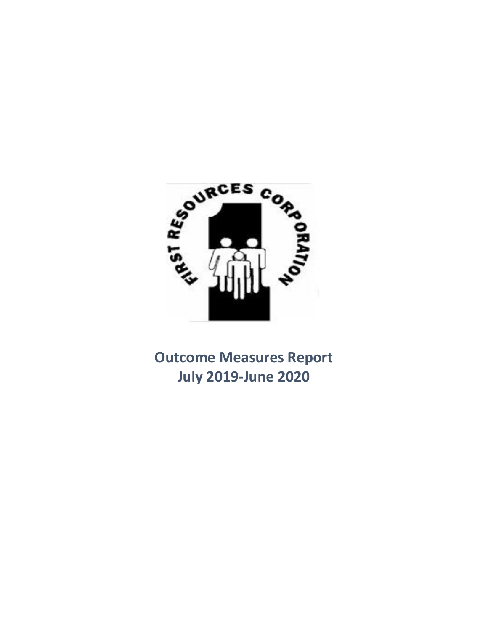

**Outcome Measures Report July 2019-June 2020**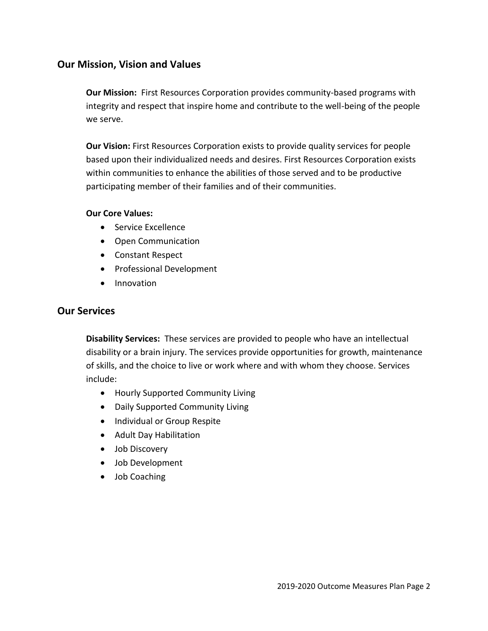# **Our Mission, Vision and Values**

**Our Mission:** First Resources Corporation provides community-based programs with integrity and respect that inspire home and contribute to the well-being of the people we serve.

**Our Vision:** First Resources Corporation exists to provide quality services for people based upon their individualized needs and desires. First Resources Corporation exists within communities to enhance the abilities of those served and to be productive participating member of their families and of their communities.

## **Our Core Values:**

- Service Excellence
- Open Communication
- Constant Respect
- Professional Development
- Innovation

# **Our Services**

**Disability Services:** These services are provided to people who have an intellectual disability or a brain injury. The services provide opportunities for growth, maintenance of skills, and the choice to live or work where and with whom they choose. Services include:

- Hourly Supported Community Living
- Daily Supported Community Living
- Individual or Group Respite
- Adult Day Habilitation
- Job Discovery
- Job Development
- Job Coaching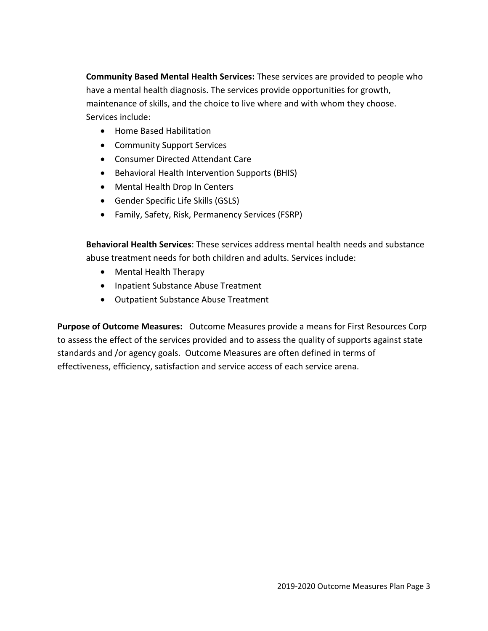**Community Based Mental Health Services:** These services are provided to people who have a mental health diagnosis. The services provide opportunities for growth, maintenance of skills, and the choice to live where and with whom they choose. Services include:

- Home Based Habilitation
- Community Support Services
- Consumer Directed Attendant Care
- Behavioral Health Intervention Supports (BHIS)
- Mental Health Drop In Centers
- Gender Specific Life Skills (GSLS)
- Family, Safety, Risk, Permanency Services (FSRP)

**Behavioral Health Services**: These services address mental health needs and substance abuse treatment needs for both children and adults. Services include:

- Mental Health Therapy
- Inpatient Substance Abuse Treatment
- Outpatient Substance Abuse Treatment

**Purpose of Outcome Measures:** Outcome Measures provide a means for First Resources Corp to assess the effect of the services provided and to assess the quality of supports against state standards and /or agency goals. Outcome Measures are often defined in terms of effectiveness, efficiency, satisfaction and service access of each service arena.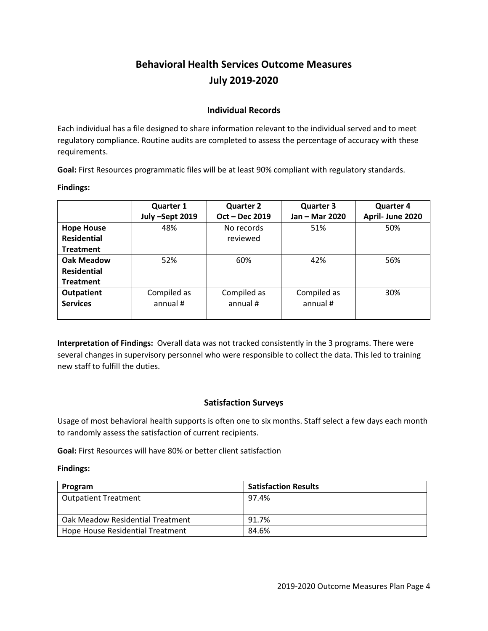# **Behavioral Health Services Outcome Measures July 2019-2020**

## **Individual Records**

Each individual has a file designed to share information relevant to the individual served and to meet regulatory compliance. Routine audits are completed to assess the percentage of accuracy with these requirements.

**Goal:** First Resources programmatic files will be at least 90% compliant with regulatory standards.

**Findings:**

|                    | <b>Quarter 1</b> | <b>Quarter 2</b> | <b>Quarter 3</b> | <b>Quarter 4</b> |
|--------------------|------------------|------------------|------------------|------------------|
|                    | July -Sept 2019  | Oct - Dec 2019   | Jan - Mar 2020   | April- June 2020 |
| <b>Hope House</b>  | 48%              | No records       | 51%              | 50%              |
| <b>Residential</b> |                  | reviewed         |                  |                  |
| <b>Treatment</b>   |                  |                  |                  |                  |
| Oak Meadow         | 52%              | 60%              | 42%              | 56%              |
| <b>Residential</b> |                  |                  |                  |                  |
| <b>Treatment</b>   |                  |                  |                  |                  |
| <b>Outpatient</b>  | Compiled as      | Compiled as      | Compiled as      | 30%              |
| <b>Services</b>    | annual #         | annual #         | annual #         |                  |
|                    |                  |                  |                  |                  |

**Interpretation of Findings:** Overall data was not tracked consistently in the 3 programs. There were several changes in supervisory personnel who were responsible to collect the data. This led to training new staff to fulfill the duties.

# **Satisfaction Surveys**

Usage of most behavioral health supports is often one to six months. Staff select a few days each month to randomly assess the satisfaction of current recipients.

**Goal:** First Resources will have 80% or better client satisfaction

#### **Findings:**

| Program                          | <b>Satisfaction Results</b> |
|----------------------------------|-----------------------------|
| Outpatient Treatment             | 97.4%                       |
|                                  |                             |
| Oak Meadow Residential Treatment | 91.7%                       |
| Hope House Residential Treatment | 84.6%                       |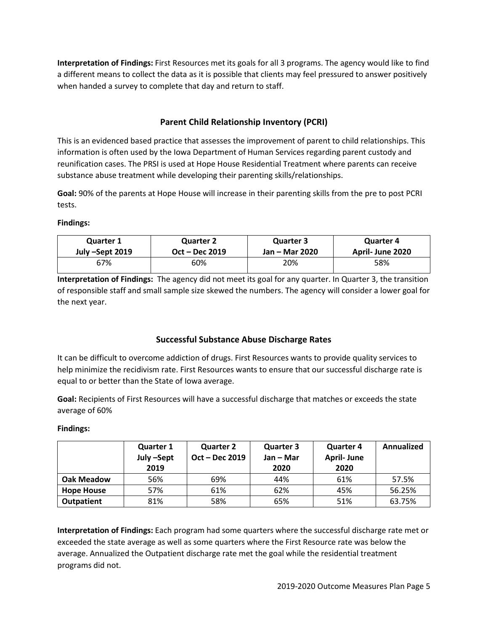**Interpretation of Findings:** First Resources met its goals for all 3 programs. The agency would like to find a different means to collect the data as it is possible that clients may feel pressured to answer positively when handed a survey to complete that day and return to staff.

# **Parent Child Relationship Inventory (PCRI)**

This is an evidenced based practice that assesses the improvement of parent to child relationships. This information is often used by the Iowa Department of Human Services regarding parent custody and reunification cases. The PRSI is used at Hope House Residential Treatment where parents can receive substance abuse treatment while developing their parenting skills/relationships.

**Goal:** 90% of the parents at Hope House will increase in their parenting skills from the pre to post PCRI tests.

#### **Findings:**

| <b>Quarter 1</b> | <b>Quarter 2</b> | Quarter 3      | Quarter 4        |
|------------------|------------------|----------------|------------------|
| July –Sept 2019  | Oct – Dec 2019   | Jan – Mar 2020 | April- June 2020 |
| 67%              | 60%              | 20%            | 58%              |

**Interpretation of Findings:** The agency did not meet its goal for any quarter. In Quarter 3, the transition of responsible staff and small sample size skewed the numbers. The agency will consider a lower goal for the next year.

# **Successful Substance Abuse Discharge Rates**

It can be difficult to overcome addiction of drugs. First Resources wants to provide quality services to help minimize the recidivism rate. First Resources wants to ensure that our successful discharge rate is equal to or better than the State of Iowa average.

**Goal:** Recipients of First Resources will have a successful discharge that matches or exceeds the state average of 60%

## **Findings:**

|                   | <b>Quarter 1</b><br>July -Sept | <b>Quarter 2</b><br>Oct – Dec 2019 | <b>Quarter 3</b><br>Jan – Mar | <b>Quarter 4</b><br><b>April-June</b> | Annualized |
|-------------------|--------------------------------|------------------------------------|-------------------------------|---------------------------------------|------------|
|                   | 2019                           |                                    | 2020                          | 2020                                  |            |
| Oak Meadow        | 56%                            | 69%                                | 44%                           | 61%                                   | 57.5%      |
| <b>Hope House</b> | 57%                            | 61%                                | 62%                           | 45%                                   | 56.25%     |
| <b>Outpatient</b> | 81%                            | 58%                                | 65%                           | 51%                                   | 63.75%     |

**Interpretation of Findings:** Each program had some quarters where the successful discharge rate met or exceeded the state average as well as some quarters where the First Resource rate was below the average. Annualized the Outpatient discharge rate met the goal while the residential treatment programs did not.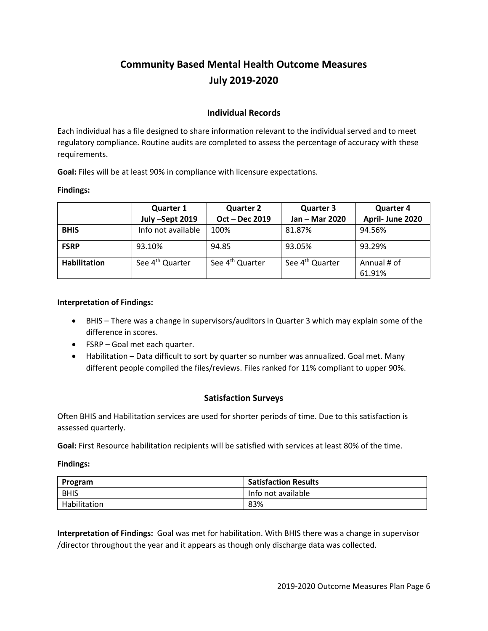# **Community Based Mental Health Outcome Measures July 2019-2020**

## **Individual Records**

Each individual has a file designed to share information relevant to the individual served and to meet regulatory compliance. Routine audits are completed to assess the percentage of accuracy with these requirements.

**Goal:** Files will be at least 90% in compliance with licensure expectations.

#### **Findings:**

|                     | <b>Quarter 1</b>            | <b>Quarter 2</b>            | <b>Quarter 3</b>            | <b>Quarter 4</b>      |
|---------------------|-----------------------------|-----------------------------|-----------------------------|-----------------------|
|                     | July -Sept 2019             | Oct - Dec 2019              | Jan - Mar 2020              | April- June 2020      |
| <b>BHIS</b>         | Info not available          | 100%                        | 81.87%                      | 94.56%                |
| <b>FSRP</b>         | 93.10%                      | 94.85                       | 93.05%                      | 93.29%                |
| <b>Habilitation</b> | See 4 <sup>th</sup> Quarter | See 4 <sup>th</sup> Quarter | See 4 <sup>th</sup> Quarter | Annual # of<br>61.91% |

#### **Interpretation of Findings:**

- BHIS There was a change in supervisors/auditors in Quarter 3 which may explain some of the difference in scores.
- FSRP Goal met each quarter.
- Habilitation Data difficult to sort by quarter so number was annualized. Goal met. Many different people compiled the files/reviews. Files ranked for 11% compliant to upper 90%.

## **Satisfaction Surveys**

Often BHIS and Habilitation services are used for shorter periods of time. Due to this satisfaction is assessed quarterly.

**Goal:** First Resource habilitation recipients will be satisfied with services at least 80% of the time.

#### **Findings:**

| Program      | <b>Satisfaction Results</b> |
|--------------|-----------------------------|
| <b>BHIS</b>  | Info not available          |
| Habilitation | 83%                         |

**Interpretation of Findings:** Goal was met for habilitation. With BHIS there was a change in supervisor /director throughout the year and it appears as though only discharge data was collected.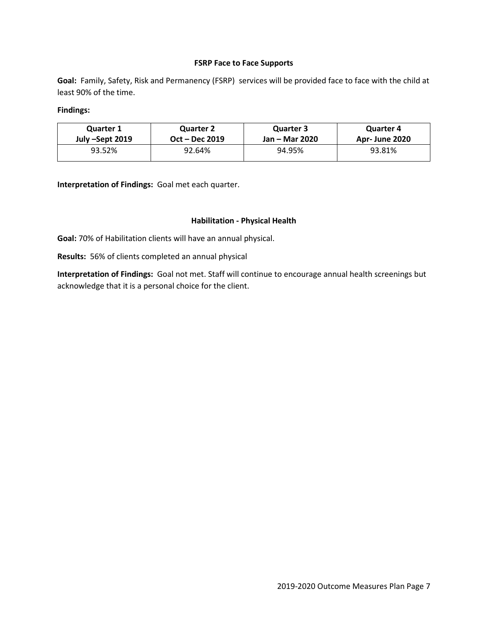#### **FSRP Face to Face Supports**

**Goal:** Family, Safety, Risk and Permanency (FSRP) services will be provided face to face with the child at least 90% of the time.

#### **Findings:**

| <b>Quarter 1</b> | <b>Quarter 2</b> | Quarter 3      | Quarter 4            |
|------------------|------------------|----------------|----------------------|
| July –Sept 2019  | Oct – Dec 2019   | Jan – Mar 2020 | <b>Apr-June 2020</b> |
| 93.52%           | 92.64%           | 94.95%         | 93.81%               |

**Interpretation of Findings:** Goal met each quarter.

#### **Habilitation - Physical Health**

**Goal:** 70% of Habilitation clients will have an annual physical.

**Results:** 56% of clients completed an annual physical

**Interpretation of Findings:** Goal not met. Staff will continue to encourage annual health screenings but acknowledge that it is a personal choice for the client.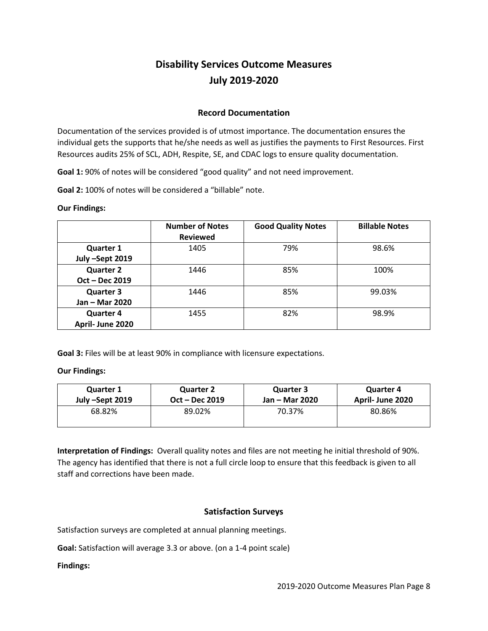# **Disability Services Outcome Measures July 2019-2020**

### **Record Documentation**

Documentation of the services provided is of utmost importance. The documentation ensures the individual gets the supports that he/she needs as well as justifies the payments to First Resources. First Resources audits 25% of SCL, ADH, Respite, SE, and CDAC logs to ensure quality documentation.

**Goal 1:** 90% of notes will be considered "good quality" and not need improvement.

**Goal 2:** 100% of notes will be considered a "billable" note.

#### **Our Findings:**

|                                      | <b>Number of Notes</b><br><b>Reviewed</b> | <b>Good Quality Notes</b> | <b>Billable Notes</b> |
|--------------------------------------|-------------------------------------------|---------------------------|-----------------------|
| <b>Quarter 1</b><br>July-Sept 2019   | 1405                                      | 79%                       | 98.6%                 |
| <b>Quarter 2</b><br>Oct - Dec 2019   | 1446                                      | 85%                       | 100%                  |
| <b>Quarter 3</b><br>Jan - Mar 2020   | 1446                                      | 85%                       | 99.03%                |
| <b>Quarter 4</b><br>April- June 2020 | 1455                                      | 82%                       | 98.9%                 |

**Goal 3:** Files will be at least 90% in compliance with licensure expectations.

#### **Our Findings:**

| <b>Quarter 1</b> | <b>Quarter 2</b> | <b>Quarter 3</b> | <b>Quarter 4</b> |
|------------------|------------------|------------------|------------------|
| July –Sept 2019  | Oct – Dec 2019   | Jan – Mar 2020   | April- June 2020 |
| 68.82%           | 89.02%           | 70.37%           | 80.86%           |

**Interpretation of Findings:** Overall quality notes and files are not meeting he initial threshold of 90%. The agency has identified that there is not a full circle loop to ensure that this feedback is given to all staff and corrections have been made.

## **Satisfaction Surveys**

Satisfaction surveys are completed at annual planning meetings.

**Goal:** Satisfaction will average 3.3 or above. (on a 1-4 point scale)

#### **Findings:**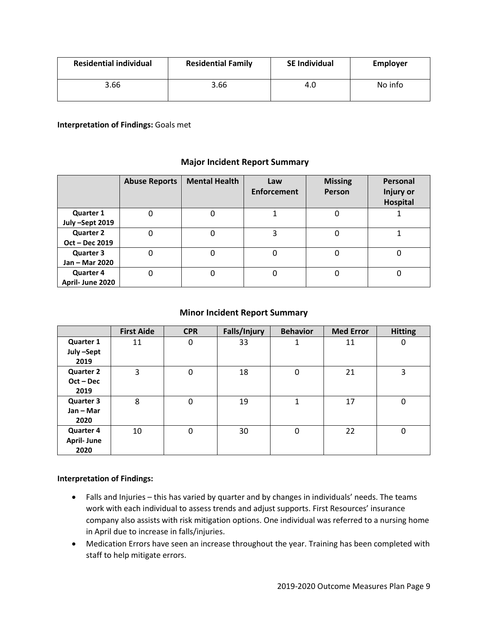| <b>Residential individual</b><br><b>Residential Family</b> |      | <b>SE Individual</b> | <b>Employer</b> |  |
|------------------------------------------------------------|------|----------------------|-----------------|--|
| 3.66                                                       | 3.66 |                      | No info         |  |

#### **Interpretation of Findings:** Goals met

## **Major Incident Report Summary**

|                                      | <b>Abuse Reports</b> | <b>Mental Health</b> | Law<br><b>Enforcement</b> | <b>Missing</b><br>Person | Personal<br><b>Injury or</b><br>Hospital |
|--------------------------------------|----------------------|----------------------|---------------------------|--------------------------|------------------------------------------|
| <b>Quarter 1</b><br>July-Sept 2019   | 0                    |                      |                           | 0                        |                                          |
| <b>Quarter 2</b><br>Oct - Dec 2019   | 0                    | 0                    | 3                         | 0                        |                                          |
| <b>Quarter 3</b><br>Jan - Mar 2020   | 0                    |                      | 0                         | 0                        |                                          |
| <b>Quarter 4</b><br>April- June 2020 | 0                    | 0                    | 0                         | O                        |                                          |

### **Minor Incident Report Summary**

|                   | <b>First Aide</b> | <b>CPR</b> | Falls/Injury | <b>Behavior</b> | <b>Med Error</b> | <b>Hitting</b> |
|-------------------|-------------------|------------|--------------|-----------------|------------------|----------------|
| <b>Quarter 1</b>  | 11                | 0          | 33           |                 | 11               | 0              |
| July-Sept         |                   |            |              |                 |                  |                |
| 2019              |                   |            |              |                 |                  |                |
| <b>Quarter 2</b>  | 3                 | 0          | 18           | 0               | 21               | 3              |
| $Oct - Dec$       |                   |            |              |                 |                  |                |
| 2019              |                   |            |              |                 |                  |                |
| <b>Quarter 3</b>  | 8                 | $\Omega$   | 19           | 1               | 17               | $\Omega$       |
| $Jan - Mar$       |                   |            |              |                 |                  |                |
| 2020              |                   |            |              |                 |                  |                |
| <b>Quarter 4</b>  | 10                | $\Omega$   | 30           | 0               | 22               | 0              |
| <b>April-June</b> |                   |            |              |                 |                  |                |
| 2020              |                   |            |              |                 |                  |                |

#### **Interpretation of Findings:**

- Falls and Injuries this has varied by quarter and by changes in individuals' needs. The teams work with each individual to assess trends and adjust supports. First Resources' insurance company also assists with risk mitigation options. One individual was referred to a nursing home in April due to increase in falls/injuries.
- Medication Errors have seen an increase throughout the year. Training has been completed with staff to help mitigate errors.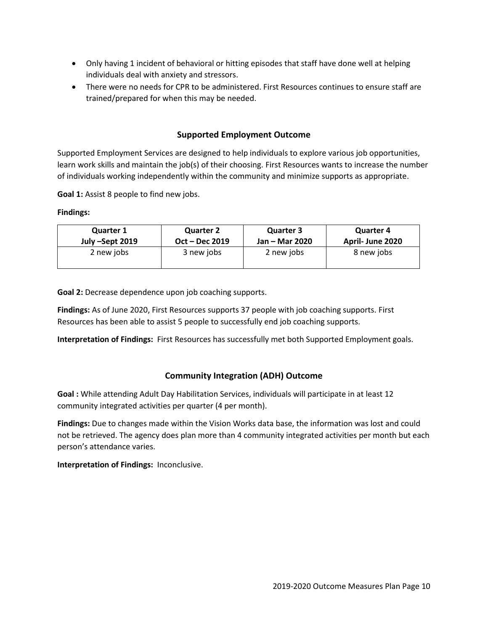- Only having 1 incident of behavioral or hitting episodes that staff have done well at helping individuals deal with anxiety and stressors.
- There were no needs for CPR to be administered. First Resources continues to ensure staff are trained/prepared for when this may be needed.

## **Supported Employment Outcome**

Supported Employment Services are designed to help individuals to explore various job opportunities, learn work skills and maintain the job(s) of their choosing. First Resources wants to increase the number of individuals working independently within the community and minimize supports as appropriate.

**Goal 1:** Assist 8 people to find new jobs.

**Findings:**

| <b>Quarter 1</b> | <b>Quarter 2</b> |            | <b>Quarter 4</b> |  |
|------------------|------------------|------------|------------------|--|
| July –Sept 2019  | Oct – Dec 2019   |            | April- June 2020 |  |
| 2 new jobs       | 3 new jobs       | 2 new jobs | 8 new jobs       |  |

**Goal 2:** Decrease dependence upon job coaching supports.

**Findings:** As of June 2020, First Resources supports 37 people with job coaching supports. First Resources has been able to assist 5 people to successfully end job coaching supports.

**Interpretation of Findings:** First Resources has successfully met both Supported Employment goals.

#### **Community Integration (ADH) Outcome**

**Goal :** While attending Adult Day Habilitation Services, individuals will participate in at least 12 community integrated activities per quarter (4 per month).

**Findings:** Due to changes made within the Vision Works data base, the information was lost and could not be retrieved. The agency does plan more than 4 community integrated activities per month but each person's attendance varies.

**Interpretation of Findings:** Inconclusive.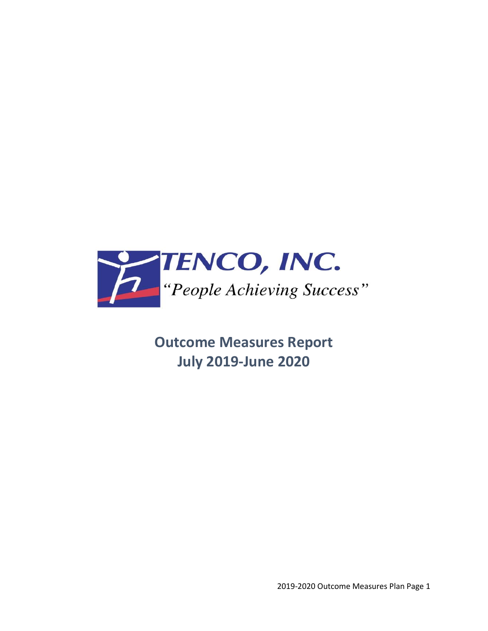

**Outcome Measures Report July 2019-June 2020**

2019-2020 Outcome Measures Plan Page 1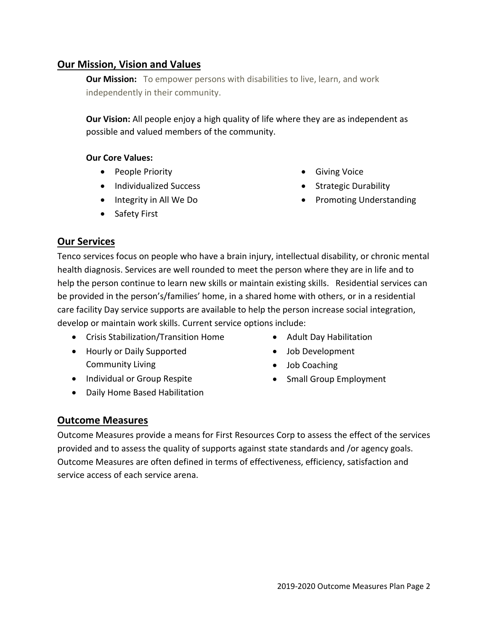# **Our Mission, Vision and Values**

**Our Mission:** To empower persons with disabilities to live, learn, and work independently in their community.

**Our Vision:** All people enjoy a high quality of life where they are as independent as possible and valued members of the community.

# **Our Core Values:**

- People Priority
- Individualized Success
- Integrity in All We Do
- Safety First
- Giving Voice
- Strategic Durability
- Promoting Understanding

# **Our Services**

Tenco services focus on people who have a brain injury, intellectual disability, or chronic mental health diagnosis. Services are well rounded to meet the person where they are in life and to help the person continue to learn new skills or maintain existing skills. Residential services can be provided in the person's/families' home, in a shared home with others, or in a residential care facility Day service supports are available to help the person increase social integration, develop or maintain work skills. Current service options include:

- Crisis Stabilization/Transition Home
- Hourly or Daily Supported Community Living
- Individual or Group Respite
- Daily Home Based Habilitation
- Adult Day Habilitation
- Job Development
- Job Coaching
- Small Group Employment

# **Outcome Measures**

Outcome Measures provide a means for First Resources Corp to assess the effect of the services provided and to assess the quality of supports against state standards and /or agency goals. Outcome Measures are often defined in terms of effectiveness, efficiency, satisfaction and service access of each service arena.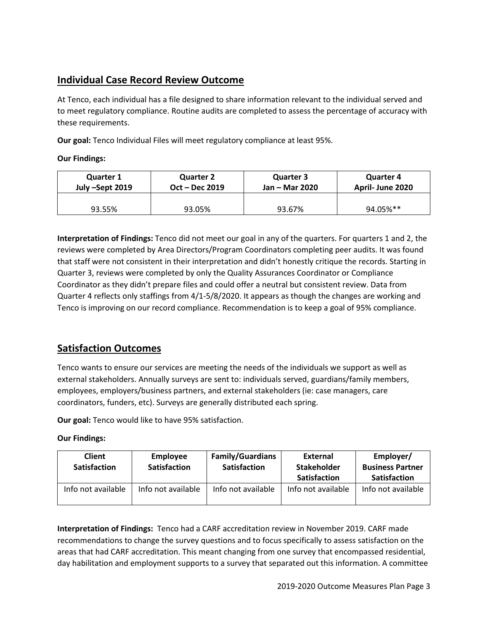# **Individual Case Record Review Outcome**

At Tenco, each individual has a file designed to share information relevant to the individual served and to meet regulatory compliance. Routine audits are completed to assess the percentage of accuracy with these requirements.

**Our goal:** Tenco Individual Files will meet regulatory compliance at least 95%.

### **Our Findings:**

| <b>Quarter 1</b> | <b>Quarter 2</b> | <b>Quarter 3</b> | <b>Quarter 4</b> |  |
|------------------|------------------|------------------|------------------|--|
| July –Sept 2019  | Oct – Dec 2019   | Jan – Mar 2020   | April-June 2020  |  |
| 93.55%           | 93.05%           | 93.67%           | 94.05%**         |  |

**Interpretation of Findings:** Tenco did not meet our goal in any of the quarters. For quarters 1 and 2, the reviews were completed by Area Directors/Program Coordinators completing peer audits. It was found that staff were not consistent in their interpretation and didn't honestly critique the records. Starting in Quarter 3, reviews were completed by only the Quality Assurances Coordinator or Compliance Coordinator as they didn't prepare files and could offer a neutral but consistent review. Data from Quarter 4 reflects only staffings from 4/1-5/8/2020. It appears as though the changes are working and Tenco is improving on our record compliance. Recommendation is to keep a goal of 95% compliance.

# **Satisfaction Outcomes**

Tenco wants to ensure our services are meeting the needs of the individuals we support as well as external stakeholders. Annually surveys are sent to: individuals served, guardians/family members, employees, employers/business partners, and external stakeholders (ie: case managers, care coordinators, funders, etc). Surveys are generally distributed each spring.

**Our goal:** Tenco would like to have 95% satisfaction.

**Our Findings:**

| <b>Client</b><br><b>Satisfaction</b> | Employee<br><b>Satisfaction</b> | <b>Family/Guardians</b><br><b>Satisfaction</b> | <b>External</b><br><b>Stakeholder</b><br><b>Satisfaction</b> | Employer/<br><b>Business Partner</b><br><b>Satisfaction</b> |
|--------------------------------------|---------------------------------|------------------------------------------------|--------------------------------------------------------------|-------------------------------------------------------------|
| Info not available                   | Info not available              | Info not available                             | Info not available                                           | Info not available                                          |

**Interpretation of Findings:** Tenco had a CARF accreditation review in November 2019. CARF made recommendations to change the survey questions and to focus specifically to assess satisfaction on the areas that had CARF accreditation. This meant changing from one survey that encompassed residential, day habilitation and employment supports to a survey that separated out this information. A committee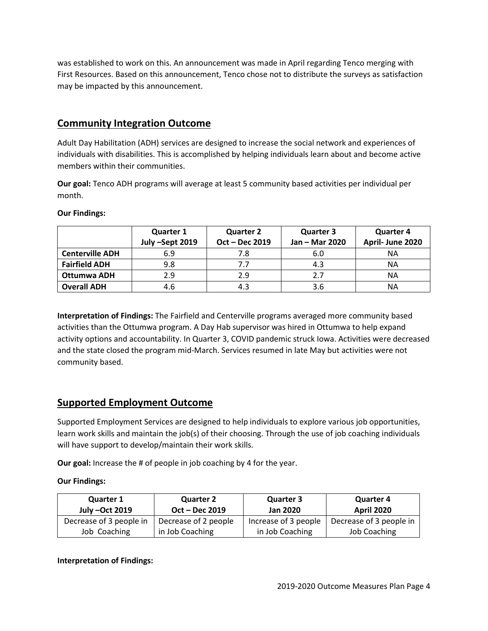was established to work on this. An announcement was made in April regarding Tenco merging with First Resources. Based on this announcement, Tenco chose not to distribute the surveys as satisfaction may be impacted by this announcement.

# **Community Integration Outcome**

Adult Day Habilitation (ADH) services are designed to increase the social network and experiences of individuals with disabilities. This is accomplished by helping individuals learn about and become active members within their communities.

**Our goal:** Tenco ADH programs will average at least 5 community based activities per individual per month.

|                        | <b>Quarter 1</b> | <b>Quarter 2</b> | <b>Quarter 3</b> | <b>Quarter 4</b> |  |
|------------------------|------------------|------------------|------------------|------------------|--|
|                        | July -Sept 2019  | Oct - Dec 2019   | Jan - Mar 2020   | April- June 2020 |  |
| <b>Centerville ADH</b> | 6.9              | 7.8              | 6.0              | ΝA               |  |
| <b>Fairfield ADH</b>   | 9.8              |                  | 4.3              | NА               |  |
| Ottumwa ADH            | 2.9              | 2.9              | 2.7              | NА               |  |
| <b>Overall ADH</b>     | 4.6              | 4.3              | 3.6              | ΝA               |  |

#### **Our Findings:**

**Interpretation of Findings:** The Fairfield and Centerville programs averaged more community based activities than the Ottumwa program. A Day Hab supervisor was hired in Ottumwa to help expand activity options and accountability. In Quarter 3, COVID pandemic struck Iowa. Activities were decreased and the state closed the program mid-March. Services resumed in late May but activities were not community based.

# **Supported Employment Outcome**

Supported Employment Services are designed to help individuals to explore various job opportunities, learn work skills and maintain the job(s) of their choosing. Through the use of job coaching individuals will have support to develop/maintain their work skills.

**Our goal:** Increase the # of people in job coaching by 4 for the year.

## **Our Findings:**

| <b>Quarter 2</b><br><b>Quarter 1</b><br>July -Oct 2019<br>Oct - Dec 2019 |                      | <b>Quarter 3</b><br><b>Jan 2020</b> | <b>Quarter 4</b><br><b>April 2020</b> |  |
|--------------------------------------------------------------------------|----------------------|-------------------------------------|---------------------------------------|--|
| Decrease of 3 people in                                                  | Decrease of 2 people | Increase of 3 people                | Decrease of 3 people in               |  |
| Job Coaching                                                             | in Job Coaching      | in Job Coaching                     | Job Coaching                          |  |

# **Interpretation of Findings:**